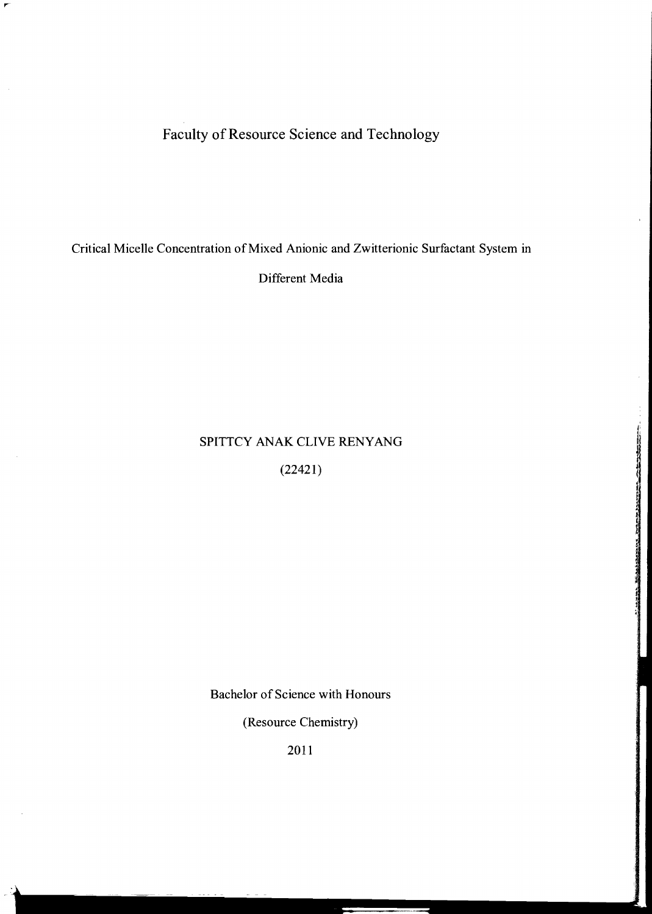Faculty of Resource Science and Technology

Critical Micelle Concentration of Mixed Anionic and Zwitterionic Surfactant System in

Different Media

# SPITTCY ANAK CLIVE RENYANG

(22421)

Bachelor of Science with Honours

(Resource Chemistry)

2011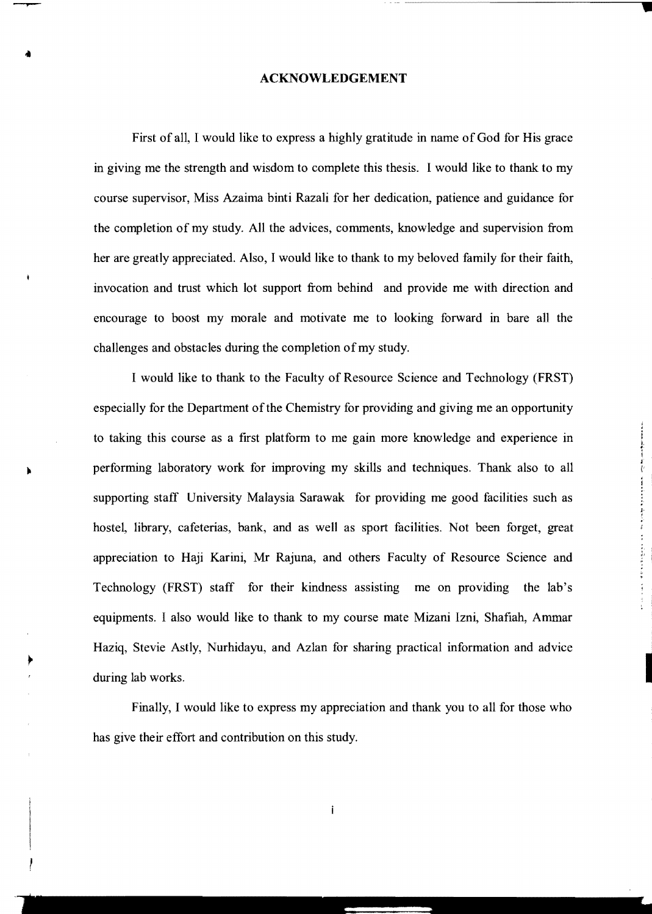#### **ACKNOWLEDGEMENT**

First of all, I would like to express a highly gratitude in name of God for His grace in giving me the strength and wisdom to complete this thesis. 1 would like to thank to my course supervisor, Miss Azaima binti Razali for her dedication, patience and guidance for the completion of my study. All the advices, comments, knowledge and supervision from her are greatly appreciated. Also, I would like to thank to my beloved family for their faith, invocation and trust which lot support from behind and provide me with direction and encourage to boost my morale and motivate me to looking forward in bare all the challenges and obstacles during the completion of my study.

I would like to thank to the Faculty of Resource Science and Technology (FRST) especially for the Department of the Chemistry for providing and giving me an opportunity to taking this course as a first platform to me gain more knowledge and experience in performing laboratory work for improving my skills and techniques. Thank also to all supporting staff University Malaysia Sarawak for providing me good facilities such as hostel, library, cafeterias, bank, and as well as sport facilities. Not been forget, great appreciation to Haji Karini, Mr Rajuna, and others Faculty of Resource Science and Technology (FRST) staff for their kindness assisting me on providing the lab's equipments. I also would like to thank to my course mate Mizani Izni, Shafiah, Ammar Haziq, Stevie Astly, Nurhidayu, and Azlan for sharing practical information and advice during lab works.

Finally, I would like to express my appreciation and thank you to all for those who has give their effort and contribution on this study.

 $\mathbf{i}$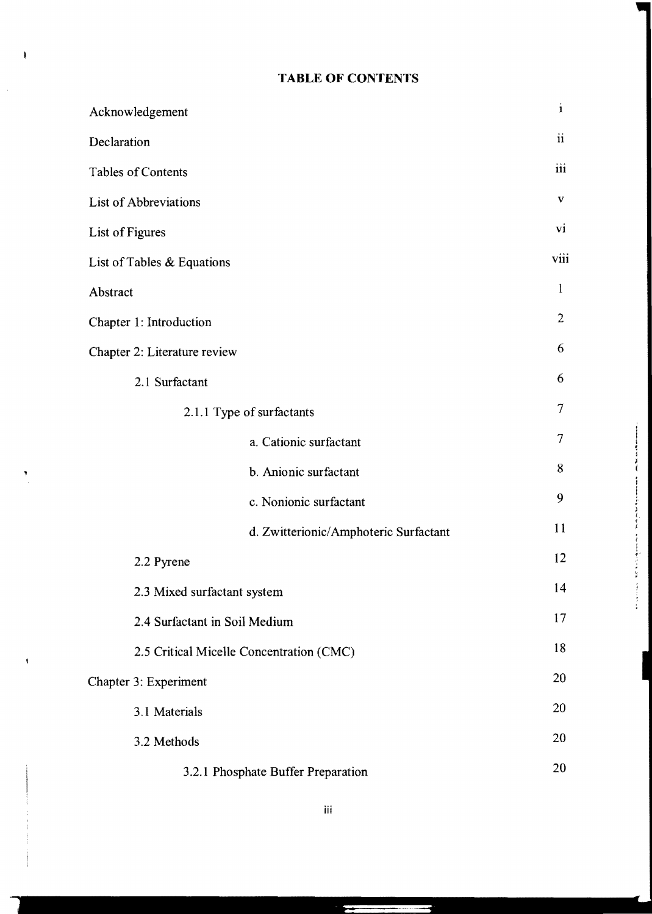## **TABLE OF CONTENTS**

| Acknowledgement                          | $\mathbf{i}$                          |                |
|------------------------------------------|---------------------------------------|----------------|
| Declaration                              | $\mathbf{ii}$                         |                |
| <b>Tables of Contents</b>                | iii                                   |                |
| <b>List of Abbreviations</b>             | $\mathbf{V}$                          |                |
| List of Figures                          | vi                                    |                |
| List of Tables & Equations               | viii                                  |                |
| Abstract                                 | $\mathbf{1}$                          |                |
| Chapter 1: Introduction                  |                                       | $\overline{2}$ |
| Chapter 2: Literature review             |                                       | 6              |
| 2.1 Surfactant                           |                                       | 6              |
| 2.1.1 Type of surfactants                |                                       | 7              |
|                                          | a. Cationic surfactant                | $\tau$         |
|                                          | b. Anionic surfactant                 | 8              |
|                                          | c. Nonionic surfactant                | 9              |
|                                          | d. Zwitterionic/Amphoteric Surfactant | 11             |
| 2.2 Pyrene                               |                                       | 12             |
| 2.3 Mixed surfactant system              |                                       | 14             |
| 2.4 Surfactant in Soil Medium            |                                       | 17             |
| 2.5 Critical Micelle Concentration (CMC) |                                       | 18             |
| Chapter 3: Experiment                    |                                       | 20             |
| 3.1 Materials                            |                                       | 20             |
| 3.2 Methods                              |                                       | 20             |
| 3.2.1 Phosphate Buffer Preparation       | 20                                    |                |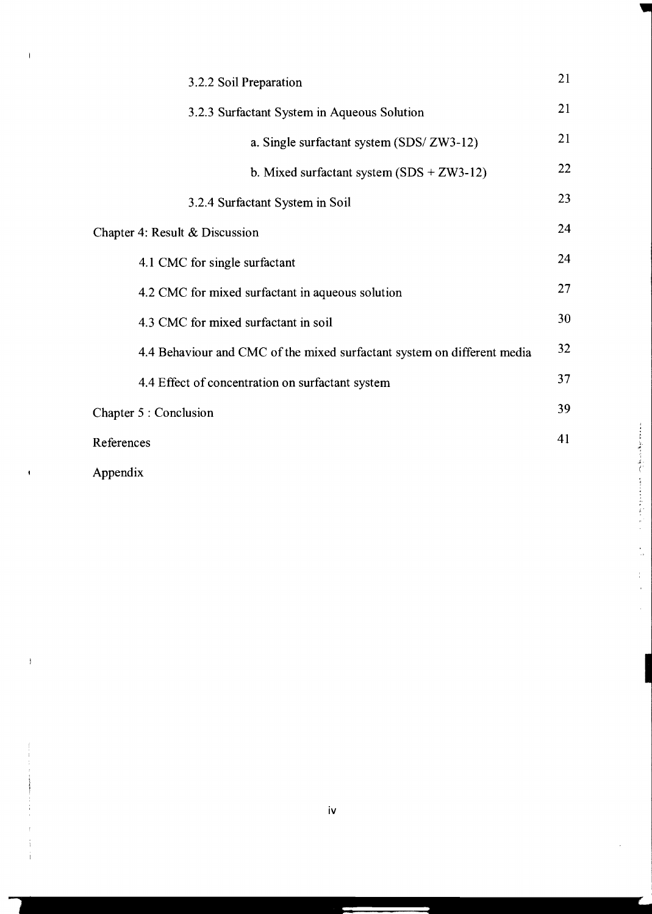| 3.2.2 Soil Preparation                                                  |    |  |
|-------------------------------------------------------------------------|----|--|
| 3.2.3 Surfactant System in Aqueous Solution                             |    |  |
| a. Single surfactant system (SDS/ ZW3-12)                               | 21 |  |
| b. Mixed surfactant system $(SDS + ZW3-12)$                             | 22 |  |
| 3.2.4 Surfactant System in Soil                                         | 23 |  |
| Chapter 4: Result & Discussion                                          |    |  |
| 4.1 CMC for single surfactant                                           | 24 |  |
| 4.2 CMC for mixed surfactant in aqueous solution                        |    |  |
| 4.3 CMC for mixed surfactant in soil                                    |    |  |
| 4.4 Behaviour and CMC of the mixed surfactant system on different media | 32 |  |
| 4.4 Effect of concentration on surfactant system                        | 37 |  |
| Chapter 5 : Conclusion                                                  |    |  |
| References                                                              |    |  |
| Appendix                                                                |    |  |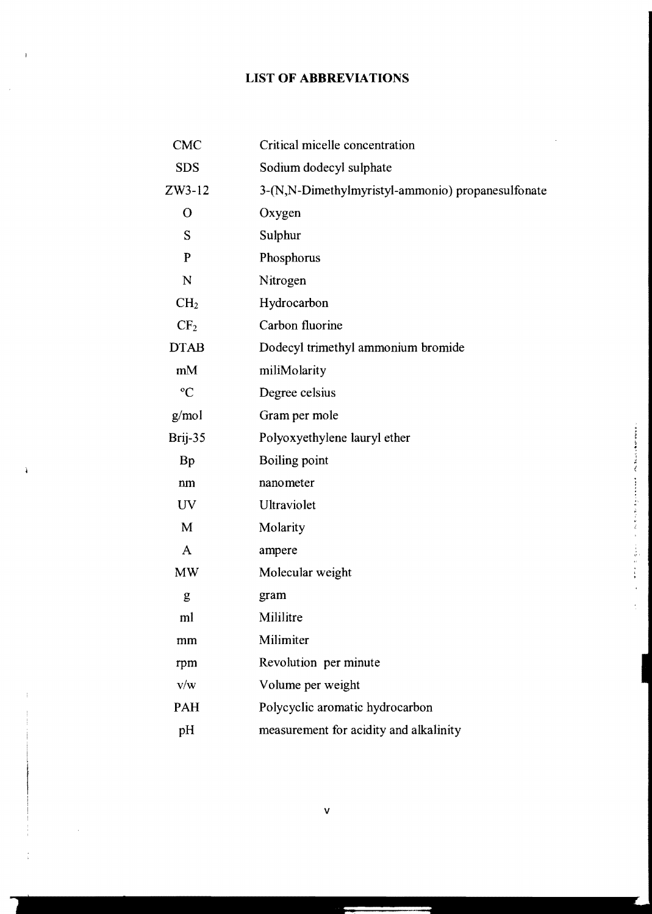# **LIST OF ABBREVIATIONS**

| <b>CMC</b>      | Critical micelle concentration                    |
|-----------------|---------------------------------------------------|
| <b>SDS</b>      | Sodium dodecyl sulphate                           |
| $ZW3-12$        | 3-(N,N-Dimethylmyristyl-ammonio) propanesulfonate |
| $\mathbf O$     | Oxygen                                            |
| S               | Sulphur                                           |
| $\mathbf{P}$    | Phosphorus                                        |
| N               | Nitrogen                                          |
| CH <sub>2</sub> | Hydrocarbon                                       |
| CF <sub>2</sub> | Carbon fluorine                                   |
| <b>DTAB</b>     | Dodecyl trimethyl ammonium bromide                |
| mM              | miliMolarity                                      |
| $\rm ^{o}C$     | Degree celsius                                    |
| g/mol           | Gram per mole                                     |
| Brij-35         | Polyoxyethylene lauryl ether                      |
| <b>Bp</b>       | <b>Boiling point</b>                              |
| nm              | nanometer                                         |
| UV              | Ultraviolet                                       |
| M               | Molarity                                          |
| A               | ampere                                            |
| <b>MW</b>       | Molecular weight                                  |
| g               | gram                                              |
| ml              | Mililitre                                         |
| mm              | Milimiter                                         |
| rpm             | Revolution per minute                             |
| v/w             | Volume per weight                                 |
| <b>PAH</b>      | Polycyclic aromatic hydrocarbon                   |
| pH              | measurement for acidity and alkalinity            |

l,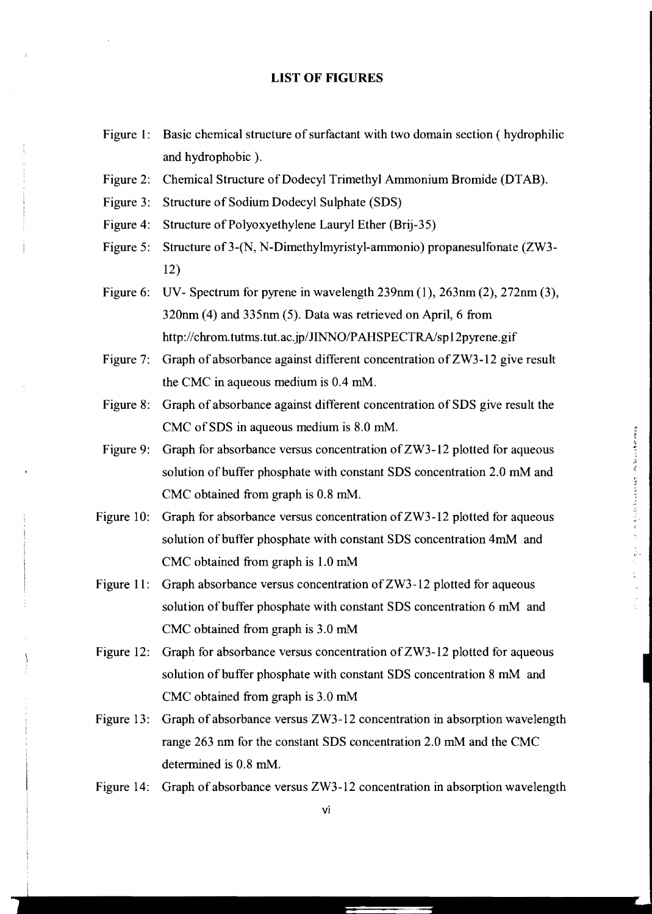#### **LIST OF FIGURES**

- Figure 1: Basic chemical structure of surfactant with two domain section ( hydrophilic and hydrophobic ).
- Figure 2: Chemical Structure of Dodecyl Trimethyl Ammonium Bromide (DTAB).
- Figure 3: Structure of Sodium Dodecyl Sulphate (SDS)
- Figure 4: Structure of Polyoxyethylene Lauryl Ether (Brij-35)
- Figure 5: Structure of 3-(N, N-Dimethylmyristyl-ammonio) propanesulfonate (ZW3-12)
- Figure 6: UV- Spectrum for pyrene in wavelength 239nm (1), 263nm (2), 272nm (3), 320nm (4) and 335nm (5). Data was retrieved on April, 6 from http://chrom.tutms.tut.ac.jp/JINNO/PAHSPECTRA/sp12pyrene.gif
- Figure 7: Graph of absorbance against different concentration of ZW3-12 give result the CMC in aqueous medium is 0.4 mM.
- Figure 8: Graph of absorbance against different concentration of SDS give result the CMC of SDS in aqueous medium is 8.0 mM.
- Figure 9: Graph for absorbance versus concentration of ZW3-12 plotted for aqueous solution of buffer phosphate with constant SDS concentration 2.0 mM and CMC obtained from graph is 0.8 mM.
- Figure 10: Graph for absorbance versus concentration of ZW3-12 plotted for aqueous solution of buffer phosphate with constant SDS concentration 4mM and CMC obtained from graph is 1.0 mM
- Figure 11: Graph absorbance versus concentration of ZW3-12 plotted for aqueous solution of buffer phosphate with constant SDS concentration 6 mM and CMC obtained from graph is 3.0 mM
- Figure 12: Graph for absorbance versus concentration of ZW3-12 plotted for aqueous solution of buffer phosphate with constant SDS concentration 8 mM and CMC obtained from graph is 3.0 mM
- Figure 13: Graph of absorbance versus ZW3-12 concentration in absorption wavelength range 263 nm for the constant SDS concentration 2.0 mM and the CMC determined is 0.8 mM.
- Figure 14: Graph of absorbance versus ZW3-12 concentration in absorption wavelength

vi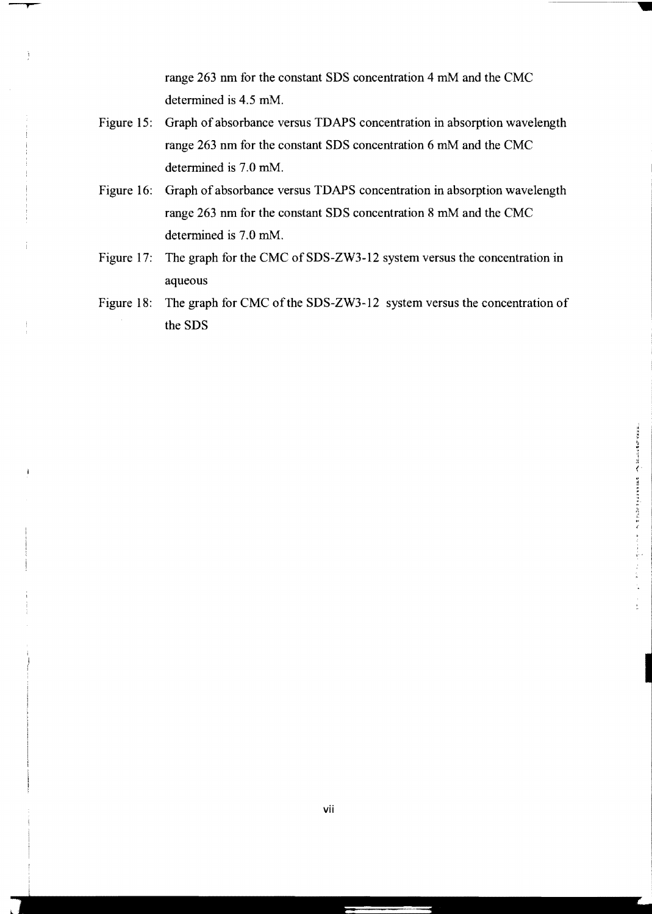range 263 nm for the constant SDS concentration 4 mM and the CMC determined is 4.5 mM.

- Figure 15: Graph of absorbance versus TDAPS concentration in absorption wavelength range 263 nm for the constant SDS concentration 6 mM and the CMC determined is 7.0 mM.
- Figure 16: Graph of absorbance versus TDAPS concentration in absorption wavelength range 263 nm for the constant SDS concentration 8 mM and the CMC determined is 7.0 mM.
- Figure 17: The graph for the CMC of SDS-ZW3-12 system versus the concentration in aqueous
- Figure 18: The graph for CMC of the SDS-ZW3-12 system versus the concentration of the SDS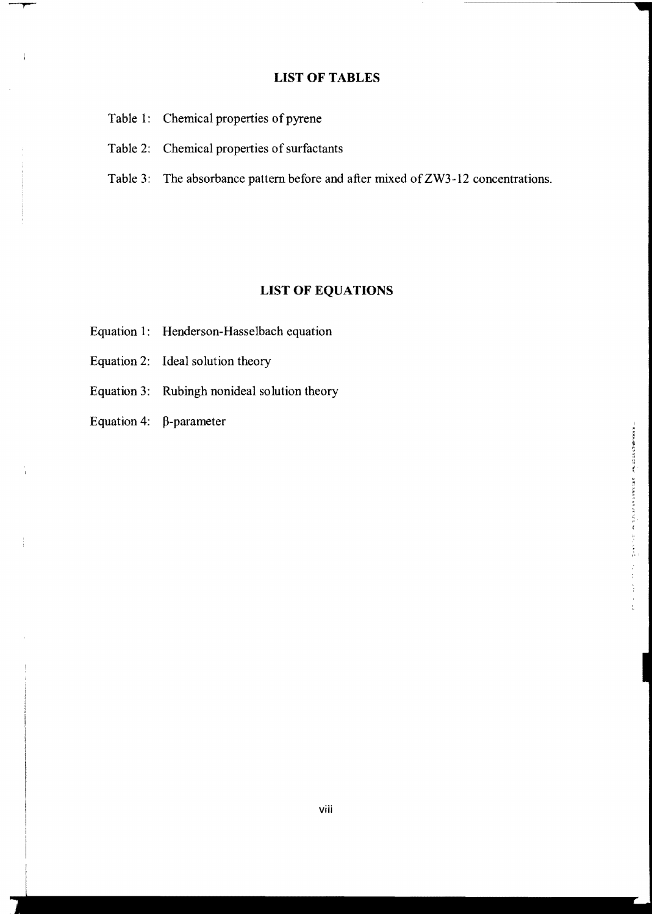## **LIST OF TABLES**

- Table 1: Chemical properties of pyrene
- Table 2: Chemical properties of surfactants
- Table 3: The absorbance pattern before and after mixed of ZW3-12 concentrations.

## **LIST OF EQUATIONS**

- Equation 1: Henderson-Hasselbach equation
- Equation 2: Ideal solution theory
- Equation 3: Rubingh nonideal solution theory
- Equation 4:  $\beta$ -parameter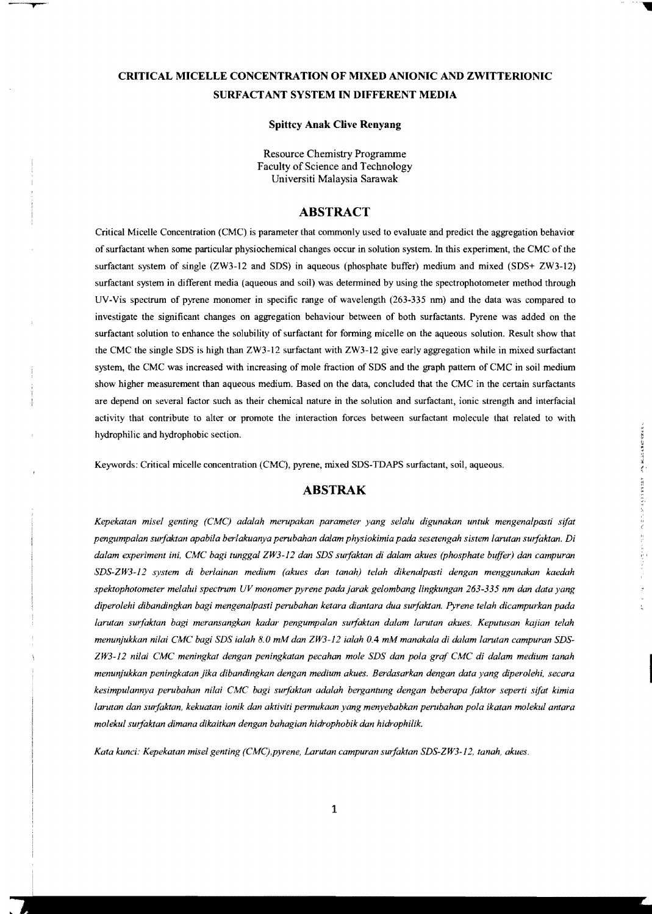## **CRITICAL MICELLE CONCENTRATION OF MIXED ANIONIC AND ZWITTERIONIC SURF ACT ANT SYSTEM IN DIFFERENT MEDIA**

**Spittcy Anak Clive Renyang** 

Resource Chemistry Programme Faculty of Science and Technology Universiti Malaysia Sarawak

### **ABSTRACT**

Critical Micelle Concentration (CMC) is parameter that commonly used to evaluate and predict the aggregation behavior of surfactant when some particular physiochemical changes occur in solution system. In this experiment, the CMC of the surfactant system of single (ZW3-12 and SDS) in aqueous (phosphate buffer) medium and mixed (SDS+ ZW3-12) surfactant system in different media (aqueous and soil) was determined by using the spectrophotometer method through UV-Vis spectrum of pyrene monomer in specific range of wavelength (263-335 nm) and the data was compared to investigate the significant changes on aggregation behaviour between of both surfactants. Pyrene was added on the surfactant solution to enhance the solubility of surfactant for forming micelle on the aqueous solution. Result show that the CMC the single SDS is high than ZW3-12 surfactant with ZW3-12 give early aggregation while in mixed surfactant system, the CMC was increased with increasing of mole fraction of SDS and the graph pattern of CMC in soil medium show higher measurement than aqueous medium. Based on the data, concluded that the CMC in the certain surfactants are depend on several factor such as their chemical nature in the solution and surfactant, ionic strength and interfacial activity that contribute to alter or promote the interaction forces between surfactant molecule that related to with hydrophilic and hydrophobic section.

Keywords: Critical micelle concentration (CMC), pyrene, mixed SDS-TDAPS surfactant, soil, aqueous.

### **ABSTRAK**

*Kepekatan misel genting (CMC) adalah merupakan parameter yang selalu digunakan untuk mengenalpasti sifat pengumpalan surfaktan apabila berlakuanya perubahan dalam physioklmia pada sesetengah slstem larutan surfaktan. Di dalam experiment ini, CMC bag! tunggal ZW3-l2 dan SDS sur/aktan di dalam akues (phosphate buffer) dan campuran* ,., *SDS-ZW3-12 system di ber/ainan medium (akues dan tanah) telah dikenalpasti dengan menggunakan kaedah spektophotometer melalui spectrum UV monomer pyrene pada jarak gelombang lingkungan* 263-335 *nm dan data yang diperolehi dibandingkan bagi mengenalpasti perubahan ketara dian tara dua sur/aktan. Pyrene telah dicampurkan pada larutan sur/aktan bagi meransangkan kadar pengumpalan surfaktan dalam larutan akues. Keputusan kajian telah menunjukkan nitai CMC bagi SDS ialah 8.0 mM dan ZW3-12 lalah 0.4 mM manakala di dalam larutan campuran SDS-ZW3-12 nilai CMC meningkat dengan peningkatan pecahan mole SDS dan pola gra/ CMC di dalam medium tanah menunjukkan peningkatan jika dibandingkan dengan medium akues. Berdasarkan dengan data yang diperolehi, secara kesimpulannya perubahan nita! CMC bagi surfaktan adalah bergantung dengan beberapa /aktor seperti sifat kimia larutan dan surfaktan, kekuatan ionik dan aktiviti permukaan yang menyebabkan perubahan pola ikatan molekul antara molekul surfaktan dimana dikaitkan dengan bahagian hidrophobik dan hidrophilik.* 

*Kata kunci: Kepekatan misel genting (CMC),pyrene, Larutan campuran surfaktan SDS-ZW3-12, tanah, akues.*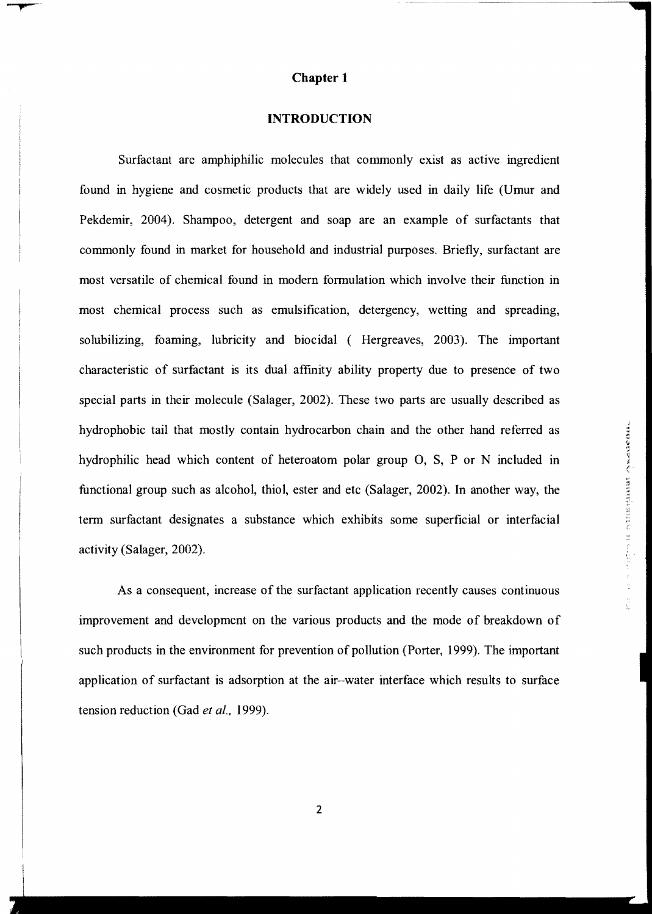#### **Chapter 1**

#### **INTRODUCTION**

Surfactant are amphiphilic molecules that commonly exist as active ingredient found in hygiene and cosmetic products that are widely used in daily life (Umur and Pekdemir, 2004). Shampoo, detergent and soap are an example of surfactants that commonly found in market for household and industrial purposes. Briefly, surfactant are most versatile of chemical found in modern formulation which involve their function in most chemical process such as emulsification, detergency, wetting and spreading, solubilizing, foaming, lubricity and biocidal ( Hergreaves, 2003). The important characteristic of surfactant is its dual affmity ability property due to presence of two special parts in their molecule (Salager, 2002). These two parts are usually described as hydrophobic tail that mostly contain hydrocarbon chain and the other hand referred as hydrophilic head which content of heteroatom polar group 0, S, P or N included in <sup>~</sup> functional group such as alcohol, thiol, ester and etc (Salager, 2002). In another way, the term surfactant designates a substance which exhibits some superficial or interfacial activity (Salager, 2002).

As a consequent, increase of the surfactant application recently causes continuous improvement and development on the various products and the mode of breakdown of such products in the environment for prevention of pollution (Porter, 1999). The important application of surfactant is adsorption at the air-water interface which results to surface tension reduction (Gad *et al., 1999).*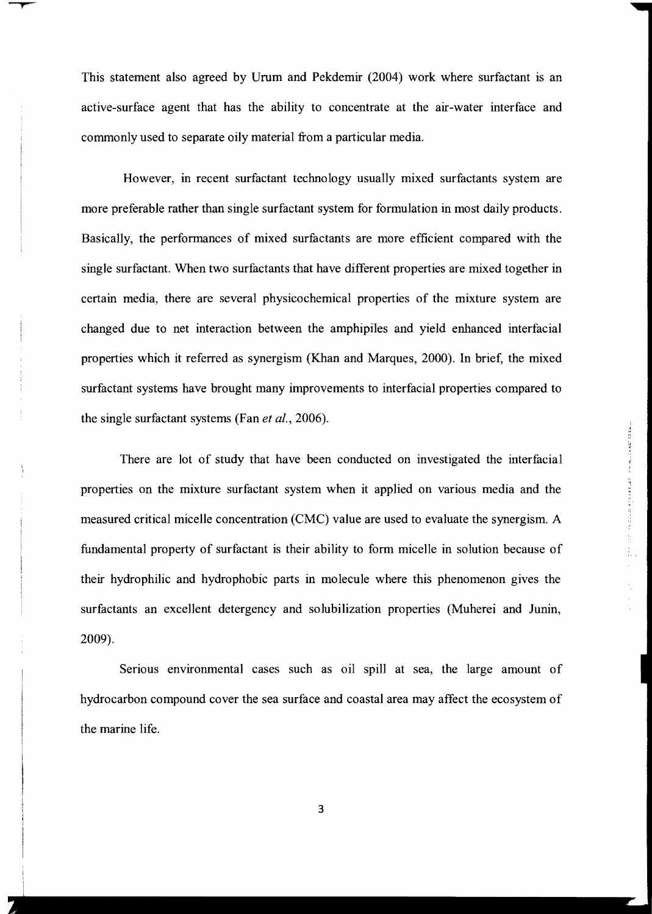This statement also agreed by Urum and Pekdemir (2004) work where surfactant is an active-surface agent that has the ability to concentrate at the air-water interface and commonly used to separate oily material from a particular media.

However, in recent surfactant technology usually mixed surfactants system are more preferable rather than single surfactant system for formulation in most daily products. Basically, the performances of mixed surfactants are more efficient compared with the single surfactant. When two surfactants that have different properties are mixed together in certain media, there are several physicochemical properties of the mixture system are changed due to net interaction between the amphipiles and yield enhanced interfacial properties which it referred as synergism (Khan and Marques, 2000). In brief, the mixed surfactant systems have brought many improvements to interfacial properties compared to the single surfactant systems (Fan *et ai.,* 2006).

There are lot of study that have been conducted on investigated the interfacial properties on the mixture surfactant system when it applied on various media and the measured critical micelle concentration (CMC) value are used to evaluate the synergism. A fundamental property of surfactant is their ability to form micelle in solution because of their hydrophilic and hydrophobic parts in molecule where this phenomenon gives the surfactants an excellent detergency and solubilization properties (Muherei and Junin, 2009).

Serious environmental cases such as oil spill at sea, the large amount of hydrocarbon compound cover the sea surface and coastal area may affect the ecosystem of the marine life.

3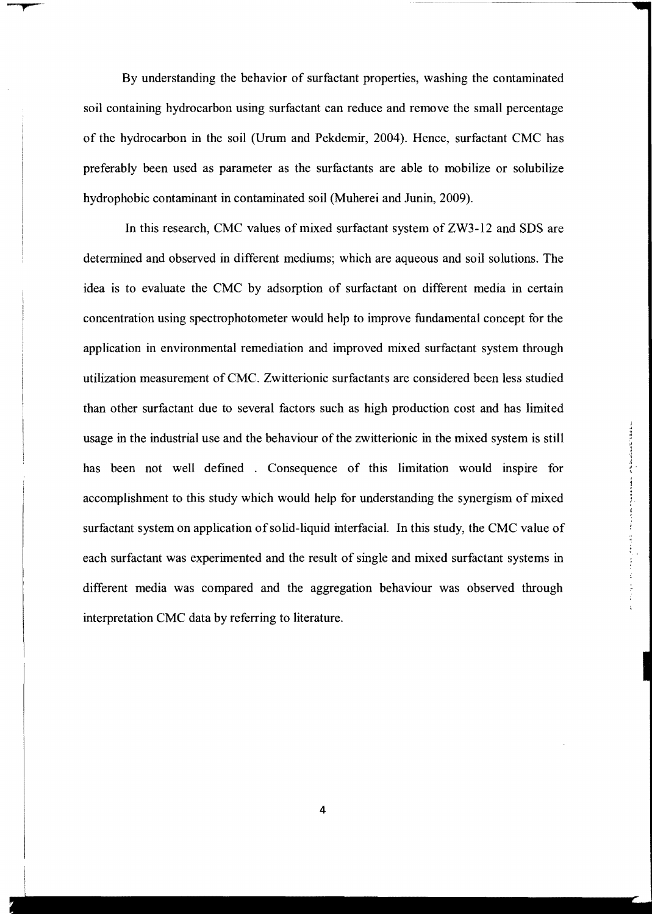By understanding the behavior of surfactant properties, washing the contaminated soil containing hydrocarbon using surfactant can reduce and remove the small percentage of the hydrocarbon in the soil (Urum and Pekdemir, 2004). Hence, surfactant CMC has preferably been used as parameter as the surfactants are able to mobilize or solubilize hydrophobic contaminant in contaminated soil (Muherei and Junin, 2009).

In this research, CMC values of mixed surfactant system of ZW3-12 and SDS are determined and observed in different mediums; which are aqueous and soil solutions. The idea is to evaluate the CMC by adsorption of surfactant on different media in certain concentration using spectrophotometer would help to improve fundamental concept for the application in environmental remediation and improved mixed surfactant system through utilization measurement of CMC. Zwitterionic surfactants are considered been less studied than other surfactant due to several factors such as high production cost and has limited usage in the industrial use and the behaviour of the zwitterionic in the mixed system is still has been not well defmed . Consequence of this limitation would inspire for accomplishment to this study which would help for understanding the synergism of mixed surfactant system on application of solid-liquid interfacial. In this study, the CMC value of each surfactant was experimented and the result of single and mixed surfactant systems in different media was compared and the aggregation behaviour was observed through interpretation CMC data by referring to literature.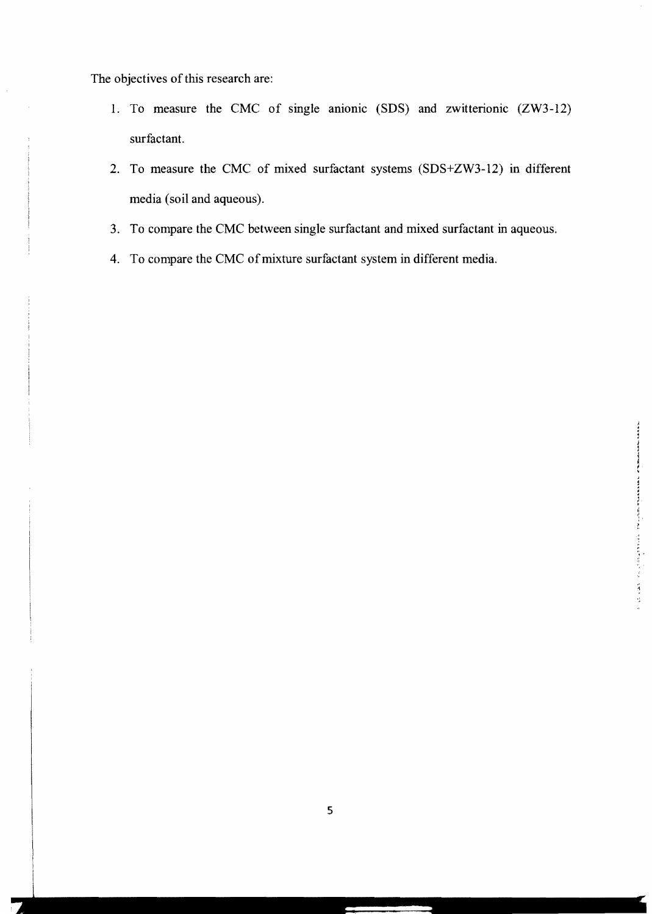The objectives of this research are:

- 1. To measure the CMC of single anionic (SDS) and zwitterionic (ZW3-12) surfactant.
- 2. To measure the CMC of mixed surfactant systems (SDS+ZW3-12) in different media (soil and aqueous).
- 3. To compare the CMC between single surfactant and mixed surfactant in aqueous.
- 4. To compare the CMC of mixture surfactant system in different media.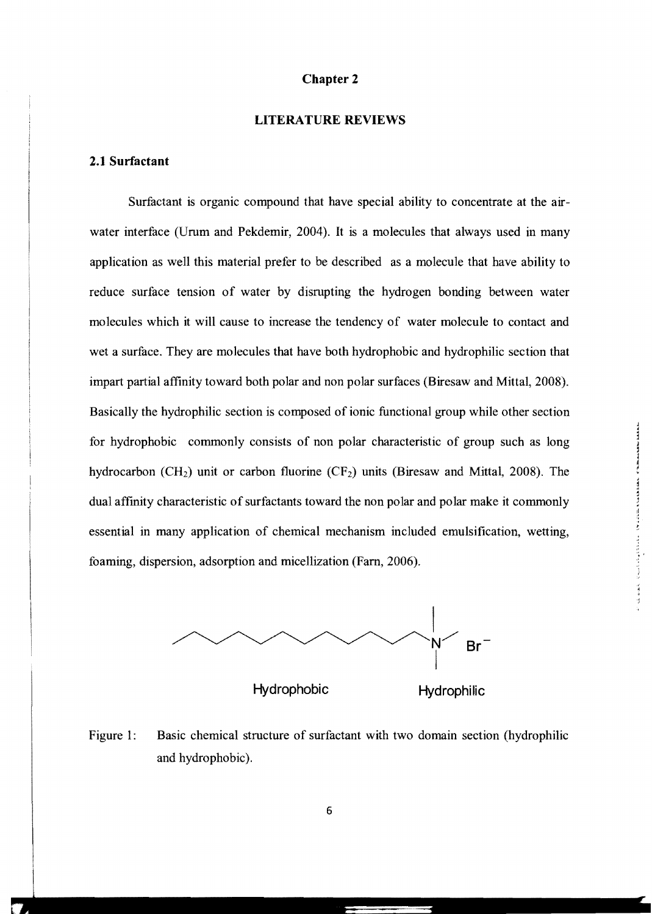## Chapter 2

### **LITERATURE** REVIEWS

### 2.1 Surfactant

Surfactant is organic compound that have special ability to concentrate at the airwater interface (Urum and Pekdemir, 2004). It is a molecules that always used in many application as well this material prefer to be described as a molecule that have ability to reduce surface tension of water by disrupting the hydrogen bonding between water molecules which it will cause to increase the tendency of water molecule to contact and wet a surface. They are molecules that have both hydrophobic and hydrophilic section that impart partial affinity toward both polar and non polar surfaces (Biresaw and Mittal, 2008). Basically the hydrophilic section is composed of ionic functional group while other section for hydrophobic commonly consists of non polar characteristic of group such as long hydrocarbon (CH<sub>2</sub>) unit or carbon fluorine (CF<sub>2</sub>) units (Biresaw and Mittal, 2008). The dual affinity characteristic of surfactants toward the non polar and polar make it commonly essential in many application of chemical mechanism included emulsification, wetting, foaming, dispersion, adsorption and micellization (Fam, 2006).



Figure 1: Basic chemical structure of surfactant with two domain section (hydrophilic and hydrophobic).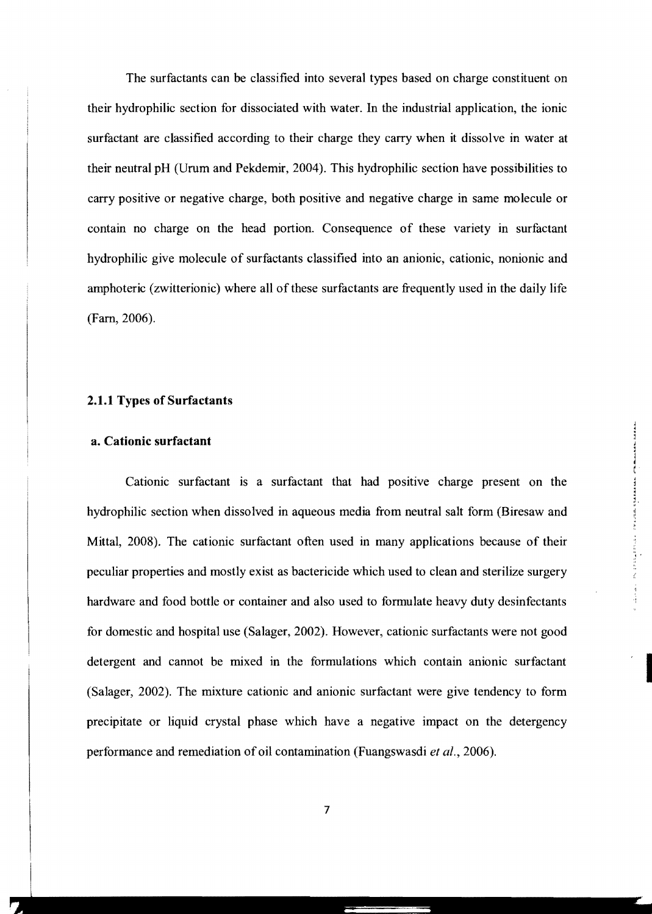The surfactants can be classified into several types based on charge constituent on their hydrophilic section for dissociated with water. In the industrial application, the ionic surfactant are classified according to their charge they carry when it dissolve in water at their neutral pH (Urum and Pekdemir, 2004). This hydrophilic section have possibilities to carry positive or negative charge, both positive and negative charge in same molecule or contain no charge on the head portion. Consequence of these variety in surfactant hydrophilic give molecule of surfactants classified into an anionic, cationic, nonionic and amphoteric (zwitterionic) where all of these surfactants are frequently used in the daily life (Fam, 2006).

### 2.1.1 Types of Surfactants

### a. Cationic surfactant

Cationic surfactant is a surfactant that had positive charge present on the hydrophilic section when dissolved in aqueous media from neutral salt form (Biresaw and Mittal, 2008). The cationic surfactant often used in many applications because of their peculiar properties and mostly exist as bactericide which used to clean and sterilize surgery hardware and food bottle or container and also used to formulate heavy duty desinfectants for domestic and hospital use (Salager, 2002). However, cationic surfactants were not good detergent and cannot be mixed in the formulations which contain anionic surfactant (Salager, 2002). The mixture cationic and anionic surfactant were give tendency to form precipitate or liquid crystal phase which have a negative impact on the detergency performance and remediation of oil contamination (Fuangswasdi *et al.*, 2006).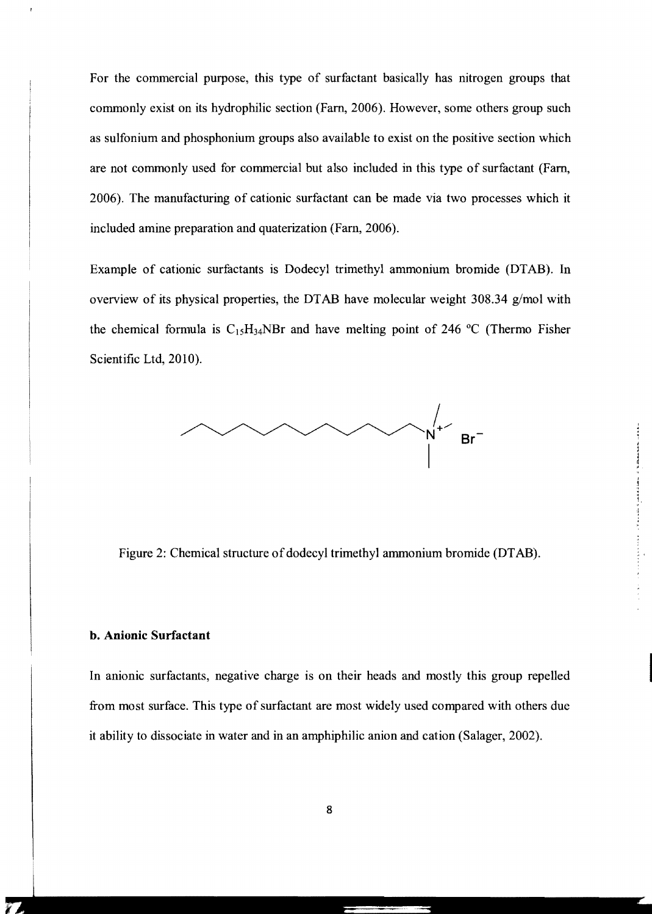For the commercial purpose, this type of surfactant basically has nitrogen groups that commonly exist on its hydrophilic section (Farn, 2006). However, some others group such as sulfonium and phosphonium groups also available to exist on the positive section which are not commonly used for commercial but also included in this type of surfactant (Farn, 2006). The manufacturing of cationic surfactant can be made via two processes which it included amine preparation and quaterization (Fam, 2006).

Example of cationic surfactants is Dodecyl trimethyl ammonium bromide (DTAB). In overview of its physical properties, the DT AB have molecular weight 308.34 g/mol with the chemical formula is  $C_{15}H_{34}NBr$  and have melting point of 246 °C (Thermo Fisher Scientific Ltd, 2010).



Figure 2: Chemical structure of dodecyl trimethyl ammonium bromide (DTAB).

#### **b. Anionic Surfactant**

In anionic surfactants, negative charge is on their heads and mostly this group repelled from most surface. This type of surfactant are most widely used compared with others due it ability to dissociate in water and in an amphiphilic anion and cation (Salager, 2002).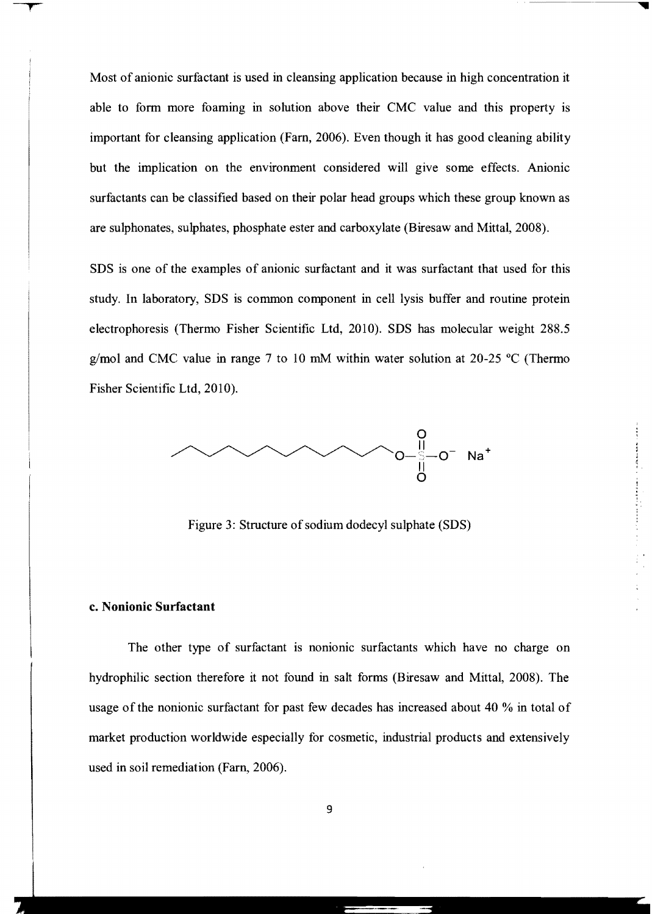Most of anionic surfactant is used in cleansing application because in high concentration it able to form more foaming in solution above their CMC value and this property is important for cleansing application (Farn, 2006). Even though it has good cleaning ability but the implication on the environment considered will give some effects. Anionic surfactants can be classified based on their polar head groups which these group known as are sulphonates, sulphates, phosphate ester and carboxylate (Biresaw and Mittal, 2008).

SDS is one of the examples of anionic surfactant and it was surfactant that used for this study. In laboratory, SDS is common component in cell lysis buffer and routine protein electrophoresis (Thermo Fisher Scientific Ltd, 2010). SDS has molecular weight 288.5 g/mol and CMC value in range 7 to 10 mM within water solution at 20-25  $\degree$ C (Thermo Fisher Scientific Ltd, 2010).



Figure 3: Structure of sodium dodecyl sulphate (SDS)

## c. Nonionic Surfactant

The other type of surfactant is nonionic surfactants which have no charge on hydrophilic section therefore it not found in salt forms (Biresaw and Mittal, 2008). The usage of the nonionic surfactant for past few decades has increased about 40 % in total of market production worldwide especially for cosmetic, industrial products and extensively used in soil remediation (Farn, 2006).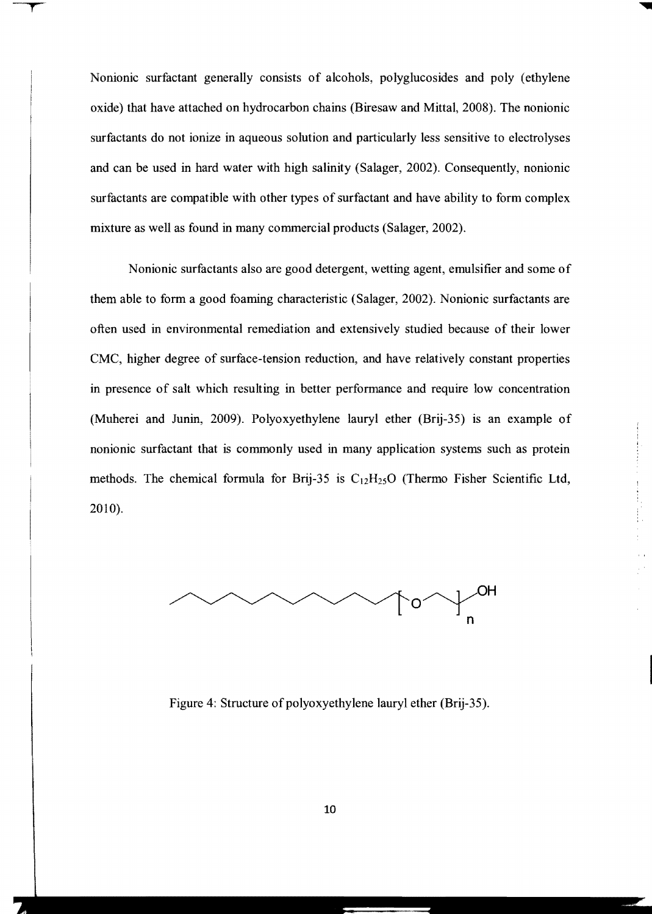Nonionic surfactant generally consists of alcohols, polyglucosides and poly (ethylene oxide) that have attached on hydrocarbon chains (Biresaw and Mittal, 2008). The nonionic surfactants do not ionize in aqueous solution and particularly less sensitive to electrolyses and can be used in hard water with high salinity (Salager, 2002). Consequently, nonionic surfactants are compatible with other types of surfactant and have ability to form complex mixture as well as found in many commercial products (Salager, 2002).

Nonionic surfactants also are good detergent, wetting agent, emulsifier and some of them able to form a good foaming characteristic (Salager, 2002). Nonionic surfactants are often used in environmental remediation and extensively studied because of their lower CMC, higher degree of surface-tension reduction, and have relatively constant properties in presence of salt which resulting in better performance and require low concentration (Muherei and Junin, 2009). Polyoxyethylene lauryl ether (Brij-35) is an example of nonionic surfactant that is commonly used in many application systems such as protein methods. The chemical formula for Brij-35 is  $C_{12}H_{25}O$  (Thermo Fisher Scientific Ltd, 2010).



Figure 4: Structure of polyoxyethylene lauryl ether (Brij-35).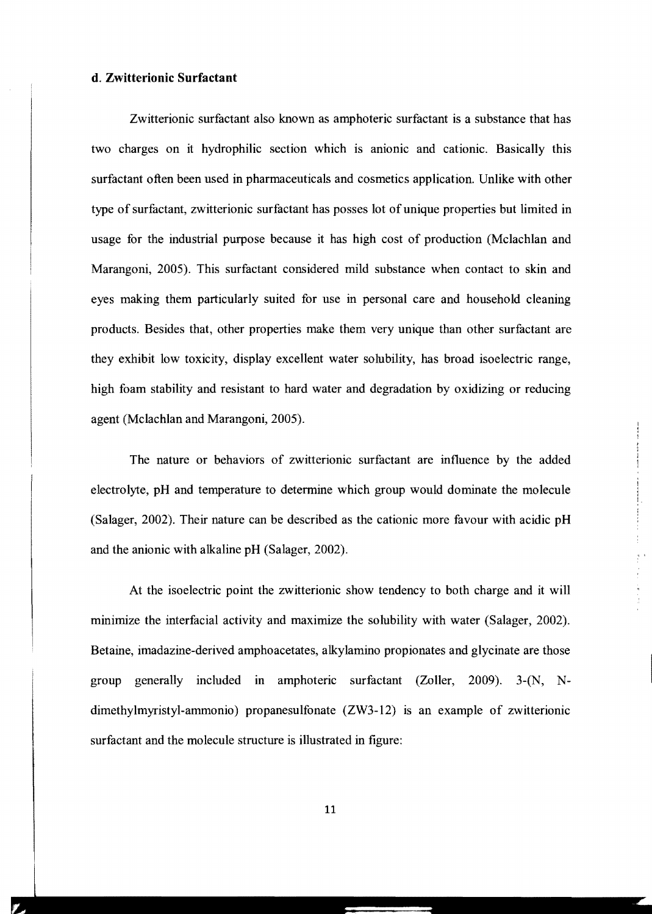#### **d. Zwitterionic Surfactant**

Zwitterionic surfactant also known as amphoteric surfactant is a substance that has two charges on it hydrophilic section which is anionic and cationic. Basically this surfactant often been used in pharmaceuticals and cosmetics application. Unlike with other type of surfactant, zwitterionic surfactant has posses lot ofunique properties but limited in usage for the industrial purpose because it has high cost of production (Mclachlan and Marangoni, 2005). This surfactant considered mild substance when contact to skin and eyes making them particularly suited for use in personal care and household cleaning products. Besides that, other properties make them very unique than other surfactant are they exhibit low toxicity, display excellent water solubility, has broad isoelectric range, high foam stability and resistant to hard water and degradation by oxidizing or reducing agent (Mclachlan and Marangoni, 2005).

The nature or behaviors of zwitterionic surfactant are influence by the added electrolyte, pH and temperature to determine which group would dominate the molecule (Salager, 2002). Their nature can be described as the cationic more favour with acidic pH and the anionic with alkaline pH (Salager, 2002).

At the isoelectric point the zwitterionic show tendency to both charge and it will minimize the interfacial activity and maximize the solubility with water (Salager, 2002). Betaine, imadazine-derived amphoacetates, alkylamino propionates and glycinate are those group generally included in amphoteric surfactant (Zoller, 2009). 3-(N, Ndimethylmyristyl-ammonio) propanesulfonate (ZW3-12) is an example of zwitterionic surfactant and the molecule structure is illustrated in figure:

11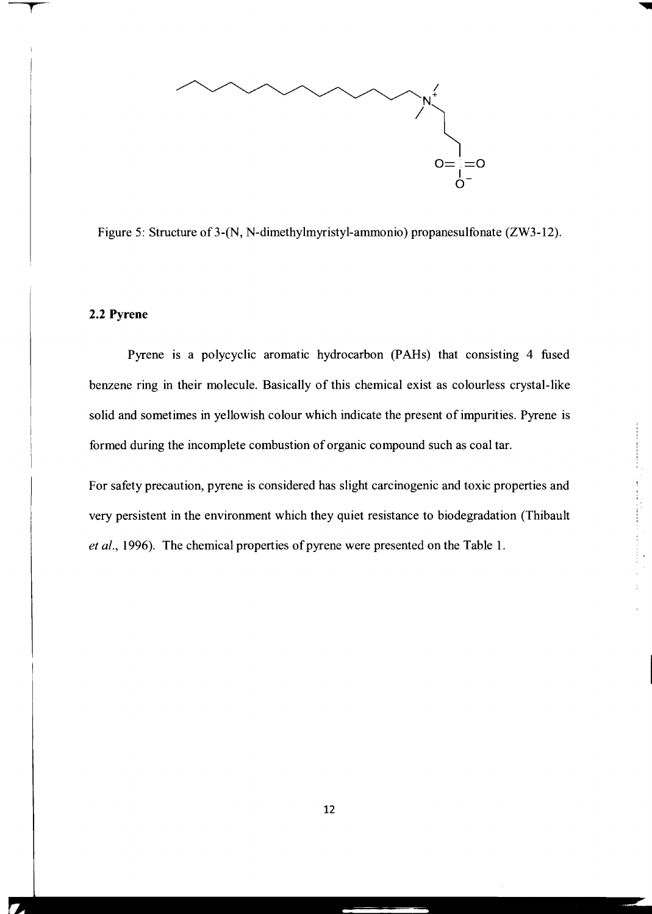

Figure 5: Structure of3-(N, N-dimethylmyristyl-ammonio) propanesulfonate (ZW3-12).

### **2.2 Pyrene**

Pyrene is a polycyclic aromatic hydrocarbon (PAHs) that consisting 4 fused benzene ring in their molecule. Basically of this chemical exist as colourless crystal-like solid and sometimes in yellowish colour which indicate the present of impurities. Pyrene is formed during the incomplete combustion of organic compound such as coal tar.

For safety precaution, pyrene is considered has slight carcinogenic and toxic properties and very persistent in the environment which they quiet resistance to biodegradation (Thibault *et al.,* 1996). The chemical properties of pyrene were presented on the Table 1.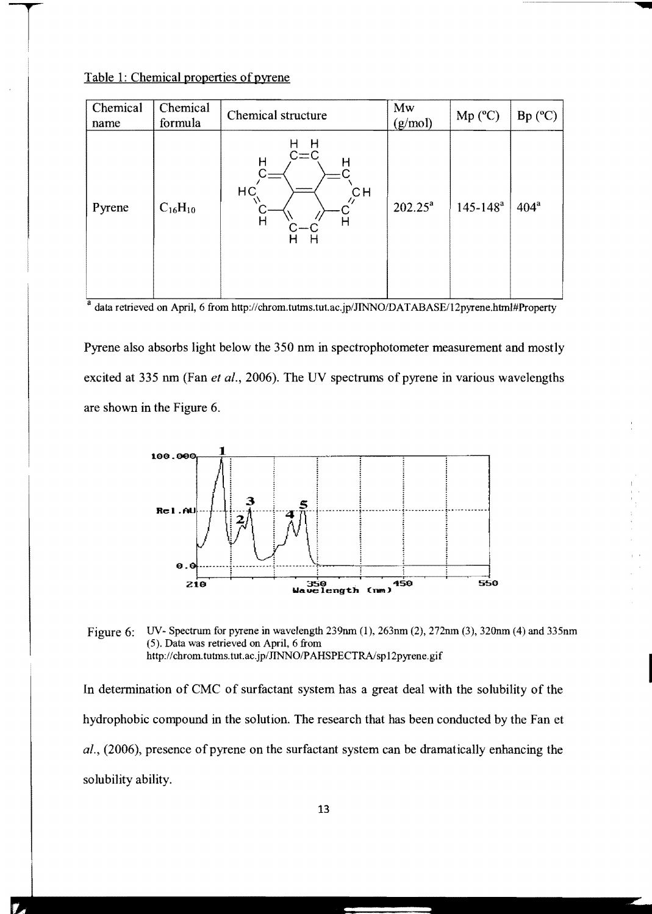## Table 1: Chemical properties of pyrene

| Chemical<br>name | Chemical<br>formula | Chemical structure                                                          | Mw<br>(g/mol) | $Mp (^{\circ}C)$ | $Bp (^{\circ}C)$ |
|------------------|---------------------|-----------------------------------------------------------------------------|---------------|------------------|------------------|
| Pyrene           | $C_{16}H_{10}$      | H<br>Н<br>$C = C$<br>Н<br>н<br>HC <sub>1</sub><br>$C$ H<br>Η<br>H<br>н<br>H | $202.25^a$    | $145 - 148^a$    | $404^a$          |

a data retrieved on April, 6 from http://chrom.tutms.tut.ac.jp/JINNO/DATABASE/12pyrene.html#Property

Pyrene also absorbs light below the 350 nm in spectrophotometer measurement and mostly excited at 335 nm (Fan *et ai.,* 2006). The UV spectrums of pyrene in various wavelengths are shown in the Figure 6.



Figure 6: UV- Spectrum for pyrene in wavelength 239nm (1), 263nm (2), 272nm (3), 320nm (4) and 335nm (5). Data was retrieved on April, 6 from http://chrom.tutms.tut.ac.jp/JINNO/PAHSPECTRA/sp12pyrene.gif

In determination of CMC of surfactant system has a great deal with the solubility of the hydrophobic compound in the solution. The research that has been conducted by the Fan et *al.*, (2006), presence of pyrene on the surfactant system can be dramatically enhancing the solubility ability.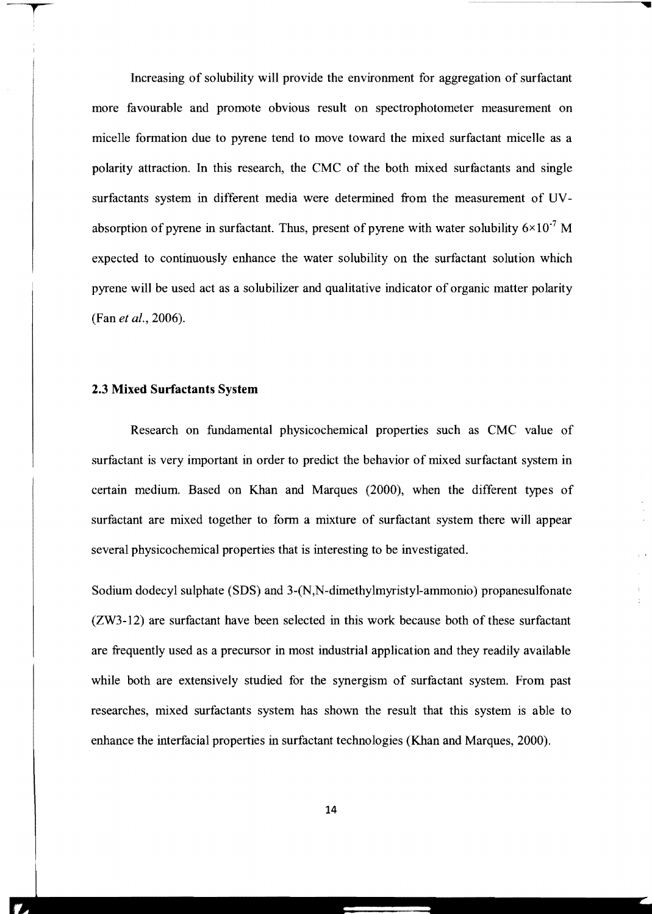Increasing of solubility will provide the environment for aggregation of surfactant more favourable and promote obvious result on spectrophotometer measurement on micelle formation due to pyrene tend to move toward the mixed surfactant micelle as a polarity attraction. In this research, the CMC of the both mixed surfactants and single surfactants system in different media were determined from the measurement of UVabsorption of pyrene in surfactant. Thus, present of pyrene with water solubility  $6\times10^{-7}$  M expected to continuously enhance the water solubility on the surfactant solution which pyrene will be used act as a solubilizer and qualitative indicator of organic matter polarity (Fan *et al., 2006).* 

#### 2.3 Mixed Surfactants System

Research on fundamental physicochemical properties such as CMC value of surfactant is very important in order to predict the behavior of mixed surfactant system in certain medium. Based on Khan and Marques (2000), when the different types of surfactant are mixed together to form a mixture of surfactant system there will appear several physicochemical properties that is interesting to be investigated.

Sodium dodecyl sulphate (SDS) and 3-(N,N-dimethylmyristyl-ammonio) propanesulfonate (ZW3-12) are surfactant have been selected in this work because both of these surfactant are frequently used as a precursor in most industrial application and they readily available while both are extensively studied for the synergism of surfactant system. From past researches, mixed surfactants system has shown the result that this system is able to enhance the interfacial properties in surfactant technologies (Khan and Marques, 2000).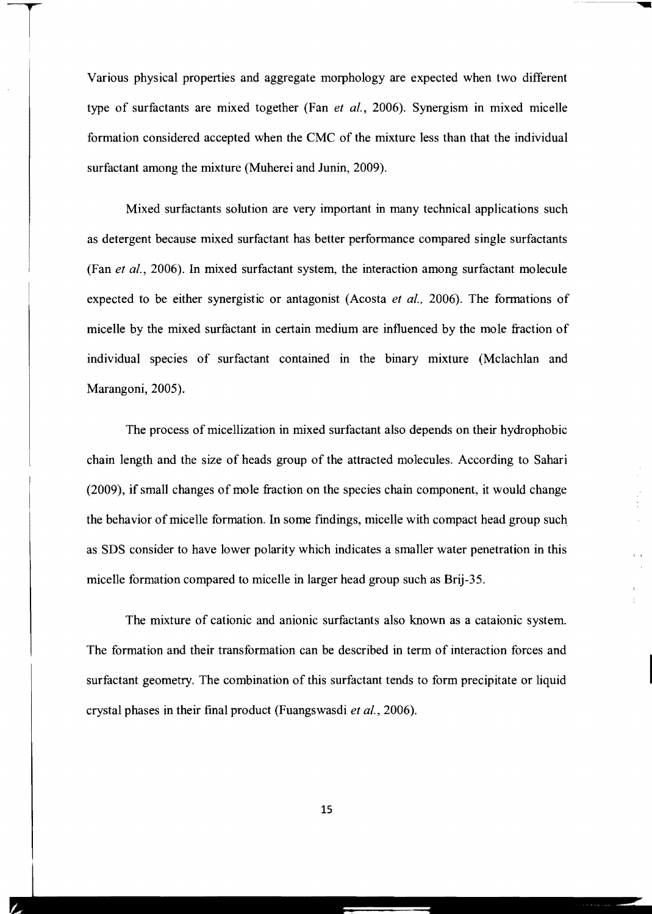Various physical properties and aggregate morphology are expected when two different type of surfactants are mixed together (Fan *et al.,* 2006). Synergism in mixed micelle formation considered accepted when the CMC of the mixture less than that the individual surfactant among the mixture (Muherei and Junin, 2009).

Mixed surfactants solution are very important in many technical applications such as detergent because mixed surfactant has better performance compared single surfactants (Fan *et al.,* 2006). In mixed surfactant system, the interaction among surfactant molecule expected to be either synergistic or antagonist (Acosta *et al.,* 2006). The formations of micelle by the mixed surfactant in certain medium are influenced by the mole fraction of individual species of surfactant contained in the binary mixture (Mclachlan and Marangoni, 2005).

The process of micellization in mixed surfactant also depends on their hydrophobic chain length and the size of heads group of the attracted molecules. According to Sahari (2009), if small changes of mole fraction on the species chain component, it would change the behavior of micelle formation. In some findings, micelle with compact head group such as SDS consider to have lower polarity which indicates a smaller water penetration in this micelle formation compared to micelle in larger head group such as Brij-35.

The mixture of cationic and anionic surfactants also known as a cataionic system. The formation and their transformation can be described in term of interaction forces and surfactant geometry. The combination of this surfactant tends to form precipitate or liquid crystal phases in their fmal product (Fuangswasdi *et al., 2006).* 

15